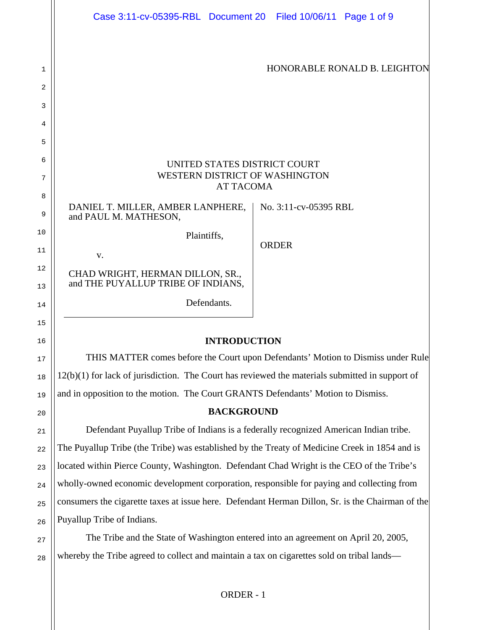|          | Case 3:11-cv-05395-RBL Document 20 Filed 10/06/11 Page 1 of 9                                     |              |                       |  |
|----------|---------------------------------------------------------------------------------------------------|--------------|-----------------------|--|
|          |                                                                                                   |              |                       |  |
|          |                                                                                                   |              |                       |  |
| 1        | HONORABLE RONALD B. LEIGHTON                                                                      |              |                       |  |
| 2        |                                                                                                   |              |                       |  |
| 3        |                                                                                                   |              |                       |  |
| 4        |                                                                                                   |              |                       |  |
| 5        |                                                                                                   |              |                       |  |
| 6        | UNITED STATES DISTRICT COURT                                                                      |              |                       |  |
| 7        | WESTERN DISTRICT OF WASHINGTON<br><b>AT TACOMA</b>                                                |              |                       |  |
| 8        |                                                                                                   |              |                       |  |
| 9        | DANIEL T. MILLER, AMBER LANPHERE,<br>and PAUL M. MATHESON,                                        |              | No. 3:11-cv-05395 RBL |  |
| 10       | Plaintiffs,                                                                                       |              |                       |  |
| 11       | V.                                                                                                | <b>ORDER</b> |                       |  |
| 12<br>13 | CHAD WRIGHT, HERMAN DILLON, SR.,<br>and THE PUYALLUP TRIBE OF INDIANS,                            |              |                       |  |
| 14       | Defendants.                                                                                       |              |                       |  |
| 15       |                                                                                                   |              |                       |  |
| 16       | <b>INTRODUCTION</b>                                                                               |              |                       |  |
| 17       | THIS MATTER comes before the Court upon Defendants' Motion to Dismiss under Rule                  |              |                       |  |
| 18       | $12(b)(1)$ for lack of jurisdiction. The Court has reviewed the materials submitted in support of |              |                       |  |
| 19       | and in opposition to the motion. The Court GRANTS Defendants' Motion to Dismiss.                  |              |                       |  |
| 20       | <b>BACKGROUND</b>                                                                                 |              |                       |  |
| 21       | Defendant Puyallup Tribe of Indians is a federally recognized American Indian tribe.              |              |                       |  |
| 22       | The Puyallup Tribe (the Tribe) was established by the Treaty of Medicine Creek in 1854 and is     |              |                       |  |
| 23       | located within Pierce County, Washington. Defendant Chad Wright is the CEO of the Tribe's         |              |                       |  |
| 24       | wholly-owned economic development corporation, responsible for paying and collecting from         |              |                       |  |
| 25       | consumers the cigarette taxes at issue here. Defendant Herman Dillon, Sr. is the Chairman of the  |              |                       |  |
| 26       | Puyallup Tribe of Indians.                                                                        |              |                       |  |
| 27       | The Tribe and the State of Washington entered into an agreement on April 20, 2005,                |              |                       |  |

28 whereby the Tribe agreed to collect and maintain a tax on cigarettes sold on tribal lands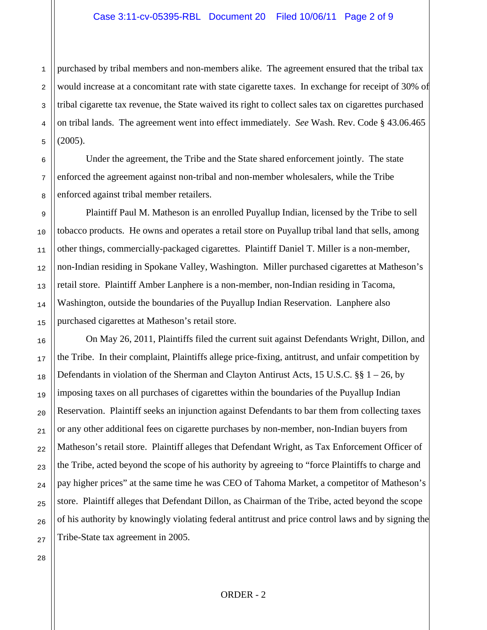purchased by tribal members and non-members alike. The agreement ensured that the tribal tax would increase at a concomitant rate with state cigarette taxes. In exchange for receipt of 30% of tribal cigarette tax revenue, the State waived its right to collect sales tax on cigarettes purchased on tribal lands. The agreement went into effect immediately. *See* Wash. Rev. Code § 43.06.465  $(2005).$ 

Under the agreement, the Tribe and the State shared enforcement jointly. The state enforced the agreement against non-tribal and non-member wholesalers, while the Tribe enforced against tribal member retailers.

Plaintiff Paul M. Matheson is an enrolled Puyallup Indian, licensed by the Tribe to sell tobacco products. He owns and operates a retail store on Puyallup tribal land that sells, among other things, commercially-packaged cigarettes. Plaintiff Daniel T. Miller is a non-member, non-Indian residing in Spokane Valley, Washington. Miller purchased cigarettes at Matheson's retail store. Plaintiff Amber Lanphere is a non-member, non-Indian residing in Tacoma, Washington, outside the boundaries of the Puyallup Indian Reservation. Lanphere also purchased cigarettes at Matheson's retail store.

On May 26, 2011, Plaintiffs filed the current suit against Defendants Wright, Dillon, and the Tribe. In their complaint, Plaintiffs allege price-fixing, antitrust, and unfair competition by Defendants in violation of the Sherman and Clayton Antirust Acts, 15 U.S.C. §§ 1 – 26, by imposing taxes on all purchases of cigarettes within the boundaries of the Puyallup Indian Reservation. Plaintiff seeks an injunction against Defendants to bar them from collecting taxes or any other additional fees on cigarette purchases by non-member, non-Indian buyers from Matheson's retail store. Plaintiff alleges that Defendant Wright, as Tax Enforcement Officer of the Tribe, acted beyond the scope of his authority by agreeing to "force Plaintiffs to charge and pay higher prices" at the same time he was CEO of Tahoma Market, a competitor of Matheson's store. Plaintiff alleges that Defendant Dillon, as Chairman of the Tribe, acted beyond the scope of his authority by knowingly violating federal antitrust and price control laws and by signing the Tribe-State tax agreement in 2005.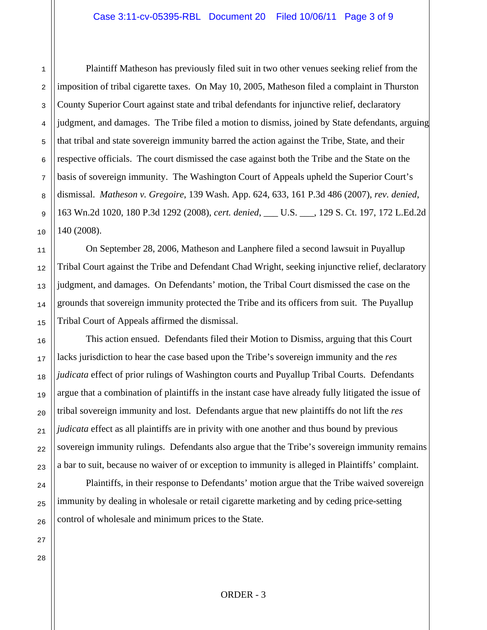Plaintiff Matheson has previously filed suit in two other venues seeking relief from the imposition of tribal cigarette taxes. On May 10, 2005, Matheson filed a complaint in Thurston County Superior Court against state and tribal defendants for injunctive relief, declaratory judgment, and damages. The Tribe filed a motion to dismiss, joined by State defendants, arguing that tribal and state sovereign immunity barred the action against the Tribe, State, and their respective officials. The court dismissed the case against both the Tribe and the State on the basis of sovereign immunity. The Washington Court of Appeals upheld the Superior Court's dismissal. *Matheson v. Gregoire*, 139 Wash. App. 624, 633, 161 P.3d 486 (2007), *rev. denied*, 163 Wn.2d 1020, 180 P.3d 1292 (2008), *cert. denied*, \_\_\_ U.S. \_\_\_, 129 S. Ct. 197, 172 L.Ed.2d 140 (2008).

On September 28, 2006, Matheson and Lanphere filed a second lawsuit in Puyallup Tribal Court against the Tribe and Defendant Chad Wright, seeking injunctive relief, declaratory judgment, and damages. On Defendants' motion, the Tribal Court dismissed the case on the grounds that sovereign immunity protected the Tribe and its officers from suit. The Puyallup Tribal Court of Appeals affirmed the dismissal.

This action ensued. Defendants filed their Motion to Dismiss, arguing that this Court lacks jurisdiction to hear the case based upon the Tribe's sovereign immunity and the *res judicata* effect of prior rulings of Washington courts and Puyallup Tribal Courts. Defendants argue that a combination of plaintiffs in the instant case have already fully litigated the issue of tribal sovereign immunity and lost. Defendants argue that new plaintiffs do not lift the *res judicata* effect as all plaintiffs are in privity with one another and thus bound by previous sovereign immunity rulings. Defendants also argue that the Tribe's sovereign immunity remains a bar to suit, because no waiver of or exception to immunity is alleged in Plaintiffs' complaint.

Plaintiffs, in their response to Defendants' motion argue that the Tribe waived sovereign immunity by dealing in wholesale or retail cigarette marketing and by ceding price-setting control of wholesale and minimum prices to the State.

1

2

3

4

5

6

7

8

9

10

11

12

13

14

15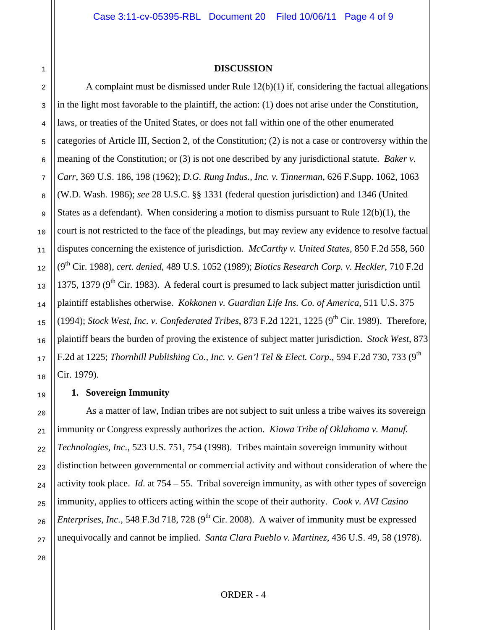#### **DISCUSSION**

A complaint must be dismissed under Rule 12(b)(1) if, considering the factual allegations in the light most favorable to the plaintiff, the action: (1) does not arise under the Constitution, laws, or treaties of the United States, or does not fall within one of the other enumerated categories of Article III, Section 2, of the Constitution; (2) is not a case or controversy within the meaning of the Constitution; or (3) is not one described by any jurisdictional statute. *Baker v. Carr*, 369 U.S. 186, 198 (1962); *D.G. Rung Indus., Inc. v. Tinnerman*, 626 F.Supp. 1062, 1063 (W.D. Wash. 1986); *see* 28 U.S.C. §§ 1331 (federal question jurisdiction) and 1346 (United States as a defendant). When considering a motion to dismiss pursuant to Rule 12(b)(1), the court is not restricted to the face of the pleadings, but may review any evidence to resolve factual disputes concerning the existence of jurisdiction. *McCarthy v. United States*, 850 F.2d 558, 560 (9th Cir. 1988), *cert. denied*, 489 U.S. 1052 (1989); *Biotics Research Corp. v. Heckler*, 710 F.2d 1375, 1379 ( $9<sup>th</sup>$  Cir. 1983). A federal court is presumed to lack subject matter jurisdiction until plaintiff establishes otherwise. *Kokkonen v. Guardian Life Ins. Co. of America*, 511 U.S. 375 (1994); *Stock West, Inc. v. Confederated Tribes*, 873 F.2d 1221, 1225 (9<sup>th</sup> Cir. 1989). Therefore, plaintiff bears the burden of proving the existence of subject matter jurisdiction. *Stock West*, 873 F.2d at 1225; *Thornhill Publishing Co., Inc. v. Gen'l Tel & Elect. Corp.*, 594 F.2d 730, 733 (9th Cir. 1979).

### **1. Sovereign Immunity**

As a matter of law, Indian tribes are not subject to suit unless a tribe waives its sovereign immunity or Congress expressly authorizes the action. *Kiowa Tribe of Oklahoma v. Manuf. Technologies, Inc.*, 523 U.S. 751, 754 (1998). Tribes maintain sovereign immunity without distinction between governmental or commercial activity and without consideration of where the activity took place. *Id*. at 754 – 55. Tribal sovereign immunity, as with other types of sovereign immunity, applies to officers acting within the scope of their authority. *Cook v. AVI Casino Enterprises, Inc.*, 548 F.3d 718, 728 (9<sup>th</sup> Cir. 2008). A waiver of immunity must be expressed unequivocally and cannot be implied. *Santa Clara Pueblo v. Martinez*, 436 U.S. 49, 58 (1978).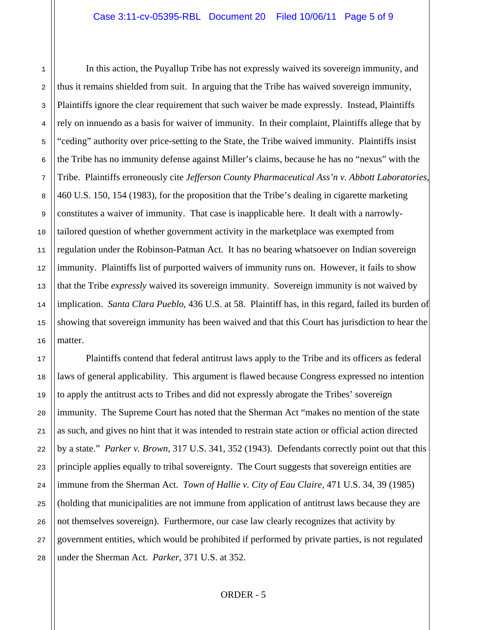In this action, the Puyallup Tribe has not expressly waived its sovereign immunity, and thus it remains shielded from suit. In arguing that the Tribe has waived sovereign immunity, Plaintiffs ignore the clear requirement that such waiver be made expressly. Instead, Plaintiffs rely on innuendo as a basis for waiver of immunity. In their complaint, Plaintiffs allege that by "ceding" authority over price-setting to the State, the Tribe waived immunity. Plaintiffs insist the Tribe has no immunity defense against Miller's claims, because he has no "nexus" with the Tribe. Plaintiffs erroneously cite *Jefferson County Pharmaceutical Ass'n v. Abbott Laboratories*, 460 U.S. 150, 154 (1983), for the proposition that the Tribe's dealing in cigarette marketing constitutes a waiver of immunity. That case is inapplicable here. It dealt with a narrowlytailored question of whether government activity in the marketplace was exempted from regulation under the Robinson-Patman Act. It has no bearing whatsoever on Indian sovereign immunity. Plaintiffs list of purported waivers of immunity runs on. However, it fails to show that the Tribe *expressly* waived its sovereign immunity. Sovereign immunity is not waived by implication. *Santa Clara Pueblo*, 436 U.S. at 58. Plaintiff has, in this regard, failed its burden of showing that sovereign immunity has been waived and that this Court has jurisdiction to hear the matter.

Plaintiffs contend that federal antitrust laws apply to the Tribe and its officers as federal laws of general applicability. This argument is flawed because Congress expressed no intention to apply the antitrust acts to Tribes and did not expressly abrogate the Tribes' sovereign immunity. The Supreme Court has noted that the Sherman Act "makes no mention of the state as such, and gives no hint that it was intended to restrain state action or official action directed by a state." *Parker v. Brown*, 317 U.S. 341, 352 (1943). Defendants correctly point out that this principle applies equally to tribal sovereignty. The Court suggests that sovereign entities are immune from the Sherman Act. *Town of Hallie v. City of Eau Claire*, 471 U.S. 34, 39 (1985) (holding that municipalities are not immune from application of antitrust laws because they are not themselves sovereign). Furthermore, our case law clearly recognizes that activity by government entities, which would be prohibited if performed by private parties, is not regulated under the Sherman Act. *Parker*, 371 U.S. at 352.

1

2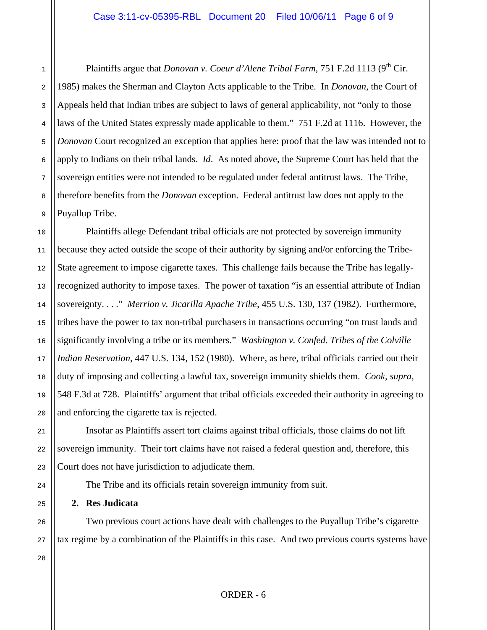Plaintiffs argue that *Donovan v. Coeur d'Alene Tribal Farm*, 751 F.2d 1113 (9<sup>th</sup> Cir. 1985) makes the Sherman and Clayton Acts applicable to the Tribe. In *Donovan*, the Court of Appeals held that Indian tribes are subject to laws of general applicability, not "only to those laws of the United States expressly made applicable to them." 751 F.2d at 1116. However, the *Donovan* Court recognized an exception that applies here: proof that the law was intended not to apply to Indians on their tribal lands. *Id*. As noted above, the Supreme Court has held that the sovereign entities were not intended to be regulated under federal antitrust laws. The Tribe, therefore benefits from the *Donovan* exception. Federal antitrust law does not apply to the Puyallup Tribe.

Plaintiffs allege Defendant tribal officials are not protected by sovereign immunity because they acted outside the scope of their authority by signing and/or enforcing the Tribe-State agreement to impose cigarette taxes. This challenge fails because the Tribe has legallyrecognized authority to impose taxes. The power of taxation "is an essential attribute of Indian sovereignty. . . ." *Merrion v. Jicarilla Apache Tribe*, 455 U.S. 130, 137 (1982). Furthermore, tribes have the power to tax non-tribal purchasers in transactions occurring "on trust lands and significantly involving a tribe or its members." *Washington v. Confed. Tribes of the Colville Indian Reservation*, 447 U.S. 134, 152 (1980). Where, as here, tribal officials carried out their duty of imposing and collecting a lawful tax, sovereign immunity shields them. *Cook, supra*, 548 F.3d at 728. Plaintiffs' argument that tribal officials exceeded their authority in agreeing to and enforcing the cigarette tax is rejected.

Insofar as Plaintiffs assert tort claims against tribal officials, those claims do not lift sovereign immunity. Their tort claims have not raised a federal question and, therefore, this Court does not have jurisdiction to adjudicate them.

The Tribe and its officials retain sovereign immunity from suit.

# **2. Res Judicata**

Two previous court actions have dealt with challenges to the Puyallup Tribe's cigarette tax regime by a combination of the Plaintiffs in this case. And two previous courts systems have

1

2

3

4

5

6

7

8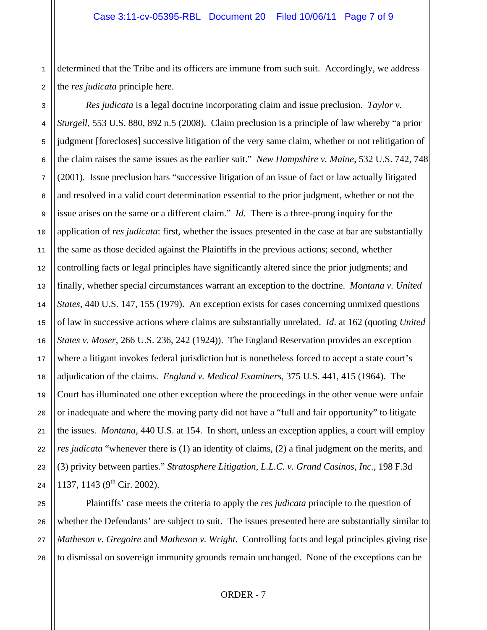1 determined that the Tribe and its officers are immune from such suit. Accordingly, we address the *res judicata* principle here.

*Res judicata* is a legal doctrine incorporating claim and issue preclusion. *Taylor v. Sturgell*, 553 U.S. 880, 892 n.5 (2008). Claim preclusion is a principle of law whereby "a prior judgment [forecloses] successive litigation of the very same claim, whether or not relitigation of the claim raises the same issues as the earlier suit." *New Hampshire v. Maine*, 532 U.S. 742, 748 (2001). Issue preclusion bars "successive litigation of an issue of fact or law actually litigated and resolved in a valid court determination essential to the prior judgment, whether or not the issue arises on the same or a different claim." *Id*. There is a three-prong inquiry for the application of *res judicata*: first, whether the issues presented in the case at bar are substantially the same as those decided against the Plaintiffs in the previous actions; second, whether controlling facts or legal principles have significantly altered since the prior judgments; and finally, whether special circumstances warrant an exception to the doctrine. *Montana v. United States*, 440 U.S. 147, 155 (1979). An exception exists for cases concerning unmixed questions of law in successive actions where claims are substantially unrelated. *Id*. at 162 (quoting *United States v. Moser*, 266 U.S. 236, 242 (1924)). The England Reservation provides an exception where a litigant invokes federal jurisdiction but is nonetheless forced to accept a state court's adjudication of the claims. *England v. Medical Examiners*, 375 U.S. 441, 415 (1964). The Court has illuminated one other exception where the proceedings in the other venue were unfair or inadequate and where the moving party did not have a "full and fair opportunity" to litigate the issues. *Montana*, 440 U.S. at 154. In short, unless an exception applies, a court will employ *res judicata* "whenever there is (1) an identity of claims, (2) a final judgment on the merits, and (3) privity between parties." *Stratosphere Litigation, L.L.C. v. Grand Casinos, Inc.*, 198 F.3d 1137, 1143 ( $9<sup>th</sup>$  Cir. 2002).

Plaintiffs' case meets the criteria to apply the *res judicata* principle to the question of whether the Defendants' are subject to suit. The issues presented here are substantially similar to *Matheson v. Gregoire* and *Matheson v. Wright*. Controlling facts and legal principles giving rise to dismissal on sovereign immunity grounds remain unchanged. None of the exceptions can be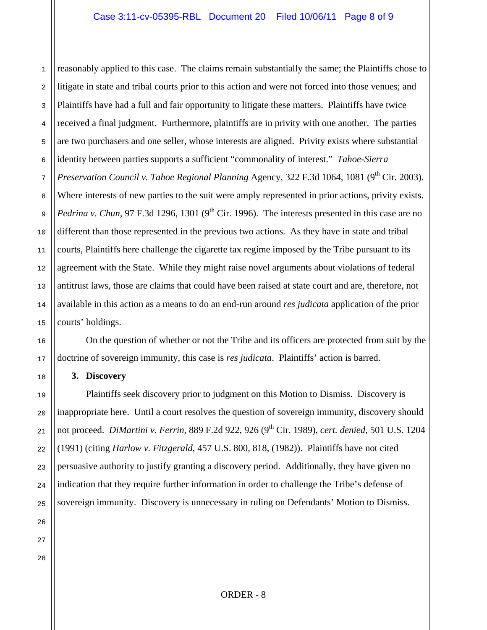1 2 3 4 5 6 7 8 9 10 11 12 13 14 15 reasonably applied to this case. The claims remain substantially the same; the Plaintiffs chose to litigate in state and tribal courts prior to this action and were not forced into those venues; and Plaintiffs have had a full and fair opportunity to litigate these matters. Plaintiffs have twice received a final judgment. Furthermore, plaintiffs are in privity with one another. The parties are two purchasers and one seller, whose interests are aligned. Privity exists where substantial identity between parties supports a sufficient "commonality of interest." *Tahoe-Sierra Preservation Council v. Tahoe Regional Planning Agency, 322 F.3d 1064, 1081 (9<sup>th</sup> Cir. 2003).* Where interests of new parties to the suit were amply represented in prior actions, privity exists. *Pedrina v. Chun*, 97 F.3d 1296, 1301 (9<sup>th</sup> Cir. 1996). The interests presented in this case are no different than those represented in the previous two actions. As they have in state and tribal courts, Plaintiffs here challenge the cigarette tax regime imposed by the Tribe pursuant to its agreement with the State. While they might raise novel arguments about violations of federal antitrust laws, those are claims that could have been raised at state court and are, therefore, not available in this action as a means to do an end-run around *res judicata* application of the prior courts' holdings.

On the question of whether or not the Tribe and its officers are protected from suit by the doctrine of sovereign immunity, this case is *res judicata*. Plaintiffs' action is barred.

### **3. Discovery**

Plaintiffs seek discovery prior to judgment on this Motion to Dismiss. Discovery is inappropriate here. Until a court resolves the question of sovereign immunity, discovery should not proceed. *DiMartini v. Ferrin*, 889 F.2d 922, 926 (9th Cir. 1989), *cert. denied*, 501 U.S. 1204 (1991) (citing *Harlow v. Fitzgerald*, 457 U.S. 800, 818, (1982)). Plaintiffs have not cited persuasive authority to justify granting a discovery period. Additionally, they have given no indication that they require further information in order to challenge the Tribe's defense of sovereign immunity. Discovery is unnecessary in ruling on Defendants' Motion to Dismiss.

26 27

16

17

18

19

20

21

22

23

24

25